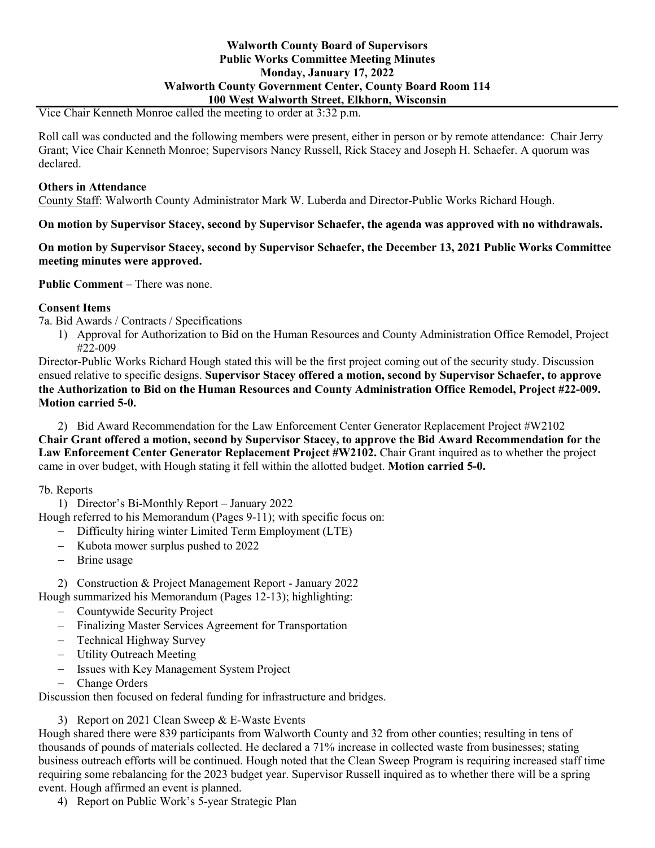## **Walworth County Board of Supervisors Public Works Committee Meeting Minutes Monday, January 17, 2022 Walworth County Government Center, County Board Room 114 100 West Walworth Street, Elkhorn, Wisconsin**

Vice Chair Kenneth Monroe called the meeting to order at 3:32 p.m.

Roll call was conducted and the following members were present, either in person or by remote attendance: Chair Jerry Grant; Vice Chair Kenneth Monroe; Supervisors Nancy Russell, Rick Stacey and Joseph H. Schaefer. A quorum was declared.

#### **Others in Attendance**

County Staff: Walworth County Administrator Mark W. Luberda and Director-Public Works Richard Hough.

### **On motion by Supervisor Stacey, second by Supervisor Schaefer, the agenda was approved with no withdrawals.**

**On motion by Supervisor Stacey, second by Supervisor Schaefer, the December 13, 2021 Public Works Committee meeting minutes were approved.**

**Public Comment** – There was none.

### **Consent Items**

7a. Bid Awards / Contracts / Specifications

1) Approval for Authorization to Bid on the Human Resources and County Administration Office Remodel, Project #22-009

Director-Public Works Richard Hough stated this will be the first project coming out of the security study. Discussion ensued relative to specific designs. **Supervisor Stacey offered a motion, second by Supervisor Schaefer, to approve the Authorization to Bid on the Human Resources and County Administration Office Remodel, Project #22-009. Motion carried 5-0.**

2) Bid Award Recommendation for the Law Enforcement Center Generator Replacement Project #W2102 **Chair Grant offered a motion, second by Supervisor Stacey, to approve the Bid Award Recommendation for the**  Law Enforcement Center Generator Replacement Project #W2102. Chair Grant inquired as to whether the project came in over budget, with Hough stating it fell within the allotted budget. **Motion carried 5-0.**

7b. Reports

1) Director's Bi-Monthly Report – January 2022

Hough referred to his Memorandum (Pages 9-11); with specific focus on:

- − Difficulty hiring winter Limited Term Employment (LTE)
- − Kubota mower surplus pushed to 2022
- − Brine usage

2) Construction & Project Management Report - January 2022

- Hough summarized his Memorandum (Pages 12-13); highlighting:
	- − Countywide Security Project
	- − Finalizing Master Services Agreement for Transportation
	- − Technical Highway Survey
	- − Utility Outreach Meeting
	- − Issues with Key Management System Project
	- − Change Orders

Discussion then focused on federal funding for infrastructure and bridges.

3) Report on 2021 Clean Sweep & E-Waste Events

Hough shared there were 839 participants from Walworth County and 32 from other counties; resulting in tens of thousands of pounds of materials collected. He declared a 71% increase in collected waste from businesses; stating business outreach efforts will be continued. Hough noted that the Clean Sweep Program is requiring increased staff time requiring some rebalancing for the 2023 budget year. Supervisor Russell inquired as to whether there will be a spring event. Hough affirmed an event is planned.

4) Report on Public Work's 5-year Strategic Plan